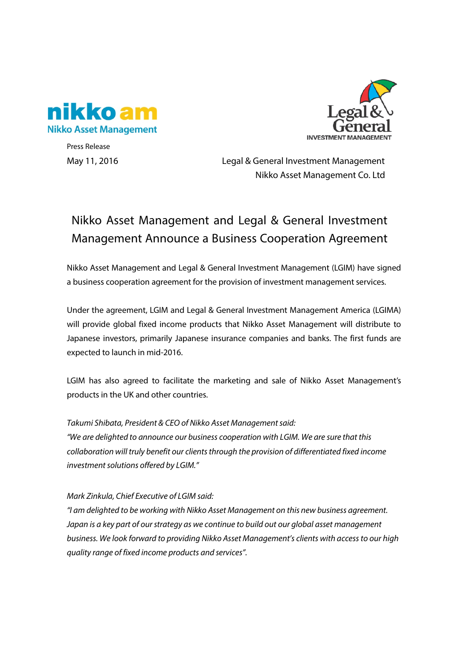



Press Release

May 11, 2016 Legal & General Investment Management Nikko Asset Management Co. Ltd

## Nikko Asset Management and Legal & General Investment Management Announce a Business Cooperation Agreement

Nikko Asset Management and Legal & General Investment Management (LGIM) have signed a business cooperation agreement for the provision of investment management services.

Under the agreement, LGIM and Legal & General Investment Management America (LGIMA) will provide global fixed income products that Nikko Asset Management will distribute to Japanese investors, primarily Japanese insurance companies and banks. The first funds are expected to launch in mid-2016.

LGIM has also agreed to facilitate the marketing and sale of Nikko Asset Management's products in the UK and other countries.

*Takumi Shibata, President & CEO of Nikko Asset Management said: "We are delighted to announce our business cooperation with LGIM. We are sure that this collaboration will truly benefit our clientsthrough the provision of differentiated fixed income investment solutions offered by LGIM."* 

*Mark Zinkula, Chief Executive of LGIM said:*

*"I am delighted to be working with Nikko Asset Management on this new business agreement. Japan is a key part of our strategy as we continue to build out our global asset management business. We look forward to providing Nikko Asset Management's clients with access to our high quality range of fixed income products and services".*